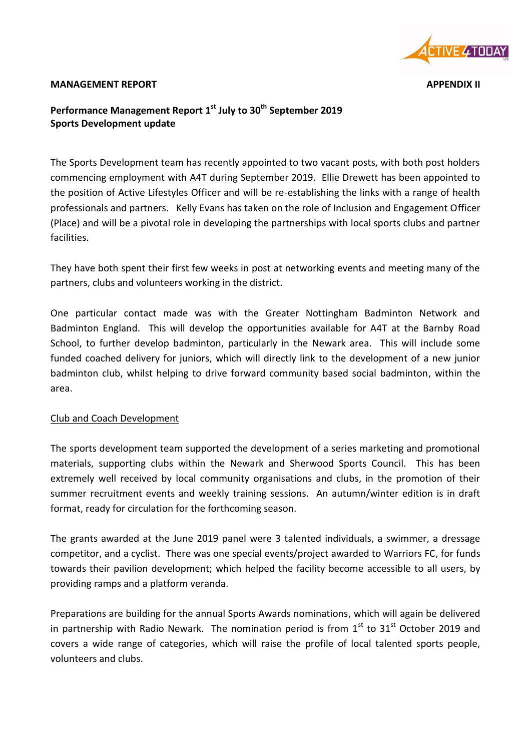

#### **MANAGEMENT REPORT APPENDIX II**

# **Performance Management Report 1 st July to 30 th September 2019 Sports Development update**

The Sports Development team has recently appointed to two vacant posts, with both post holders commencing employment with A4T during September 2019. Ellie Drewett has been appointed to the position of Active Lifestyles Officer and will be re-establishing the links with a range of health professionals and partners. Kelly Evans has taken on the role of Inclusion and Engagement Officer (Place) and will be a pivotal role in developing the partnerships with local sports clubs and partner facilities.

They have both spent their first few weeks in post at networking events and meeting many of the partners, clubs and volunteers working in the district.

One particular contact made was with the Greater Nottingham Badminton Network and Badminton England. This will develop the opportunities available for A4T at the Barnby Road School, to further develop badminton, particularly in the Newark area. This will include some funded coached delivery for juniors, which will directly link to the development of a new junior badminton club, whilst helping to drive forward community based social badminton, within the area.

## Club and Coach Development

The sports development team supported the development of a series marketing and promotional materials, supporting clubs within the Newark and Sherwood Sports Council. This has been extremely well received by local community organisations and clubs, in the promotion of their summer recruitment events and weekly training sessions. An autumn/winter edition is in draft format, ready for circulation for the forthcoming season.

The grants awarded at the June 2019 panel were 3 talented individuals, a swimmer, a dressage competitor, and a cyclist. There was one special events/project awarded to Warriors FC, for funds towards their pavilion development; which helped the facility become accessible to all users, by providing ramps and a platform veranda.

Preparations are building for the annual Sports Awards nominations, which will again be delivered in partnership with Radio Newark. The nomination period is from  $1<sup>st</sup>$  to  $31<sup>st</sup>$  October 2019 and covers a wide range of categories, which will raise the profile of local talented sports people, volunteers and clubs.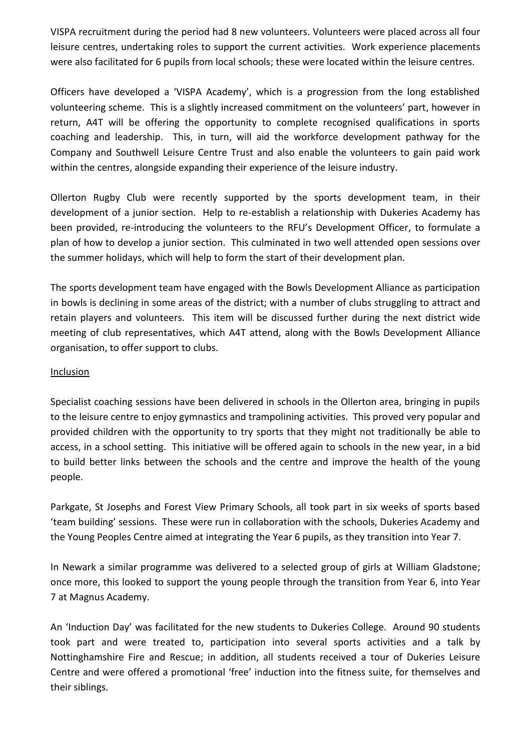VISPA recruitment during the period had 8 new volunteers. Volunteers were placed across all four leisure centres, undertaking roles to support the current activities. Work experience placements were also facilitated for 6 pupils from local schools; these were located within the leisure centres.

Officers have developed a 'VISPA Academy', which is a progression from the long established volunteering scheme. This is a slightly increased commitment on the volunteers' part, however in return, A4T will be offering the opportunity to complete recognised qualifications in sports coaching and leadership. This, in turn, will aid the workforce development pathway for the Company and Southwell Leisure Centre Trust and also enable the volunteers to gain paid work within the centres, alongside expanding their experience of the leisure industry.

Ollerton Rugby Club were recently supported by the sports development team, in their development of a junior section. Help to re-establish a relationship with Dukeries Academy has been provided, re-introducing the volunteers to the RFU's Development Officer, to formulate a plan of how to develop a junior section. This culminated in two well attended open sessions over the summer holidays, which will help to form the start of their development plan.

The sports development team have engaged with the Bowls Development Alliance as participation in bowls is declining in some areas of the district; with a number of clubs struggling to attract and retain players and volunteers. This item will be discussed further during the next district wide meeting of club representatives, which A4T attend, along with the Bowls Development Alliance organisation, to offer support to clubs.

#### Inclusion

Specialist coaching sessions have been delivered in schools in the Ollerton area, bringing in pupils to the leisure centre to enjoy gymnastics and trampolining activities. This proved very popular and provided children with the opportunity to try sports that they might not traditionally be able to access, in a school setting. This initiative will be offered again to schools in the new year, in a bid to build better links between the schools and the centre and improve the health of the young people.

Parkgate, St Josephs and Forest View Primary Schools, all took part in six weeks of sports based 'team building' sessions. These were run in collaboration with the schools, Dukeries Academy and the Young Peoples Centre aimed at integrating the Year 6 pupils, as they transition into Year 7.

In Newark a similar programme was delivered to a selected group of girls at William Gladstone; once more, this looked to support the young people through the transition from Year 6, into Year 7 at Magnus Academy.

An 'Induction Day' was facilitated for the new students to Dukeries College. Around 90 students took part and were treated to, participation into several sports activities and a talk by Nottinghamshire Fire and Rescue; in addition, all students received a tour of Dukeries Leisure Centre and were offered a promotional 'free' induction into the fitness suite, for themselves and their siblings.